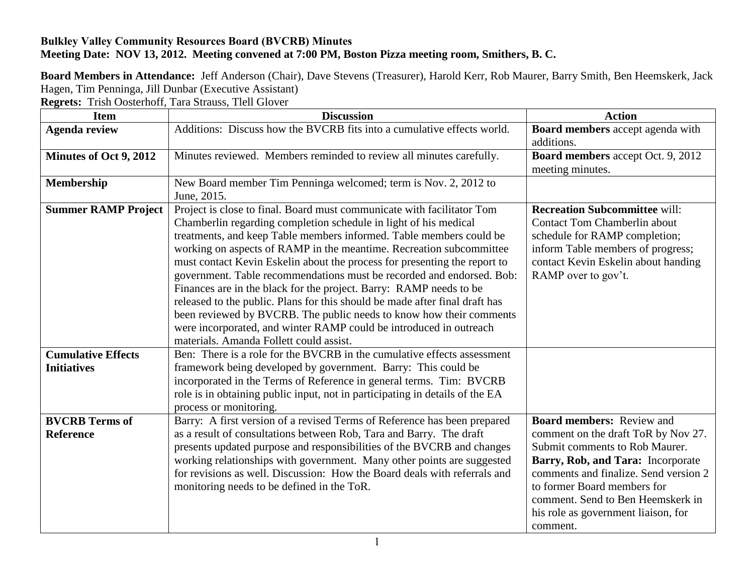## **Bulkley Valley Community Resources Board (BVCRB) Minutes Meeting Date: NOV 13, 2012. Meeting convened at 7:00 PM, Boston Pizza meeting room, Smithers, B. C.**

**Board Members in Attendance:** Jeff Anderson (Chair), Dave Stevens (Treasurer), Harold Kerr, Rob Maurer, Barry Smith, Ben Heemskerk, Jack Hagen, Tim Penninga, Jill Dunbar (Executive Assistant)

**Regrets:** Trish Oosterhoff, Tara Strauss, Tlell Glover

| <b>Item</b>                                     | <b>Discussion</b>                                                                                                                                                                                                                                                                                                                                                                                                                                                                                                                                                                                                                                                                                                                                                                           | <b>Action</b>                                                                                                                                                                                                                                                                                                  |
|-------------------------------------------------|---------------------------------------------------------------------------------------------------------------------------------------------------------------------------------------------------------------------------------------------------------------------------------------------------------------------------------------------------------------------------------------------------------------------------------------------------------------------------------------------------------------------------------------------------------------------------------------------------------------------------------------------------------------------------------------------------------------------------------------------------------------------------------------------|----------------------------------------------------------------------------------------------------------------------------------------------------------------------------------------------------------------------------------------------------------------------------------------------------------------|
| <b>Agenda review</b>                            | Additions: Discuss how the BVCRB fits into a cumulative effects world.                                                                                                                                                                                                                                                                                                                                                                                                                                                                                                                                                                                                                                                                                                                      | Board members accept agenda with<br>additions.                                                                                                                                                                                                                                                                 |
| Minutes of Oct 9, 2012                          | Minutes reviewed. Members reminded to review all minutes carefully.                                                                                                                                                                                                                                                                                                                                                                                                                                                                                                                                                                                                                                                                                                                         | Board members accept Oct. 9, 2012<br>meeting minutes.                                                                                                                                                                                                                                                          |
| Membership                                      | New Board member Tim Penninga welcomed; term is Nov. 2, 2012 to<br>June, 2015.                                                                                                                                                                                                                                                                                                                                                                                                                                                                                                                                                                                                                                                                                                              |                                                                                                                                                                                                                                                                                                                |
| <b>Summer RAMP Project</b>                      | Project is close to final. Board must communicate with facilitator Tom<br>Chamberlin regarding completion schedule in light of his medical<br>treatments, and keep Table members informed. Table members could be<br>working on aspects of RAMP in the meantime. Recreation subcommittee<br>must contact Kevin Eskelin about the process for presenting the report to<br>government. Table recommendations must be recorded and endorsed. Bob:<br>Finances are in the black for the project. Barry: RAMP needs to be<br>released to the public. Plans for this should be made after final draft has<br>been reviewed by BVCRB. The public needs to know how their comments<br>were incorporated, and winter RAMP could be introduced in outreach<br>materials. Amanda Follett could assist. | <b>Recreation Subcommittee will:</b><br><b>Contact Tom Chamberlin about</b><br>schedule for RAMP completion;<br>inform Table members of progress;<br>contact Kevin Eskelin about handing<br>RAMP over to gov't.                                                                                                |
| <b>Cumulative Effects</b><br><b>Initiatives</b> | Ben: There is a role for the BVCRB in the cumulative effects assessment<br>framework being developed by government. Barry: This could be<br>incorporated in the Terms of Reference in general terms. Tim: BVCRB<br>role is in obtaining public input, not in participating in details of the EA<br>process or monitoring.                                                                                                                                                                                                                                                                                                                                                                                                                                                                   |                                                                                                                                                                                                                                                                                                                |
| <b>BVCRB</b> Terms of<br><b>Reference</b>       | Barry: A first version of a revised Terms of Reference has been prepared<br>as a result of consultations between Rob, Tara and Barry. The draft<br>presents updated purpose and responsibilities of the BVCRB and changes<br>working relationships with government. Many other points are suggested<br>for revisions as well. Discussion: How the Board deals with referrals and<br>monitoring needs to be defined in the ToR.                                                                                                                                                                                                                                                                                                                                                              | <b>Board members: Review and</b><br>comment on the draft ToR by Nov 27.<br>Submit comments to Rob Maurer.<br>Barry, Rob, and Tara: Incorporate<br>comments and finalize. Send version 2<br>to former Board members for<br>comment. Send to Ben Heemskerk in<br>his role as government liaison, for<br>comment. |